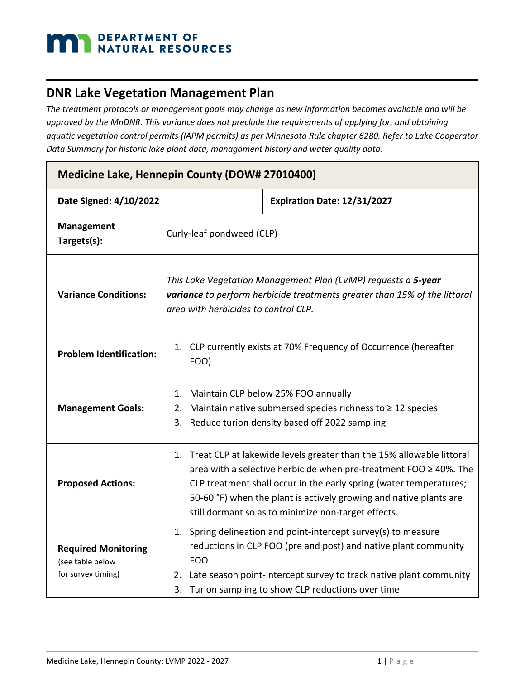# DEPARTMENT OF NATURAL RESOURCES

### **DNR Lake Vegetation Management Plan**

*The treatment protocols or management goals may change as new information becomes available and will be approved by the MnDNR. This variance does not preclude the requirements of applying for, and obtaining aquatic vegetation control permits (IAPM permits) as per Minnesota Rule chapter 6280. Refer to Lake Cooperator Data Summary for historic lake plant data, managament history and water quality data.*

| Medicine Lake, Hennepin County (DOW# 27010400)                       |                                                                                                                                                                                                                                                                                                                                                      |                                                                                                                                                                                                                                                                |  |  |
|----------------------------------------------------------------------|------------------------------------------------------------------------------------------------------------------------------------------------------------------------------------------------------------------------------------------------------------------------------------------------------------------------------------------------------|----------------------------------------------------------------------------------------------------------------------------------------------------------------------------------------------------------------------------------------------------------------|--|--|
| Date Signed: 4/10/2022                                               |                                                                                                                                                                                                                                                                                                                                                      | Expiration Date: 12/31/2027                                                                                                                                                                                                                                    |  |  |
| <b>Management</b><br>Targets(s):                                     | Curly-leaf pondweed (CLP)                                                                                                                                                                                                                                                                                                                            |                                                                                                                                                                                                                                                                |  |  |
| <b>Variance Conditions:</b>                                          | This Lake Vegetation Management Plan (LVMP) requests a 5-year<br>variance to perform herbicide treatments greater than 15% of the littoral<br>area with herbicides to control CLP.                                                                                                                                                                   |                                                                                                                                                                                                                                                                |  |  |
| <b>Problem Identification:</b>                                       | 1. CLP currently exists at 70% Frequency of Occurrence (hereafter<br>FOO)                                                                                                                                                                                                                                                                            |                                                                                                                                                                                                                                                                |  |  |
| <b>Management Goals:</b>                                             | 1.<br>2.<br>3.                                                                                                                                                                                                                                                                                                                                       | Maintain CLP below 25% FOO annually<br>Maintain native submersed species richness to $\geq 12$ species<br>Reduce turion density based off 2022 sampling                                                                                                        |  |  |
| <b>Proposed Actions:</b>                                             | 1. Treat CLP at lakewide levels greater than the 15% allowable littoral<br>area with a selective herbicide when pre-treatment FOO $\geq$ 40%. The<br>CLP treatment shall occur in the early spring (water temperatures;<br>50-60 °F) when the plant is actively growing and native plants are<br>still dormant so as to minimize non-target effects. |                                                                                                                                                                                                                                                                |  |  |
| <b>Required Monitoring</b><br>(see table below<br>for survey timing) | 1.<br><b>FOO</b>                                                                                                                                                                                                                                                                                                                                     | Spring delineation and point-intercept survey(s) to measure<br>reductions in CLP FOO (pre and post) and native plant community<br>2. Late season point-intercept survey to track native plant community<br>3. Turion sampling to show CLP reductions over time |  |  |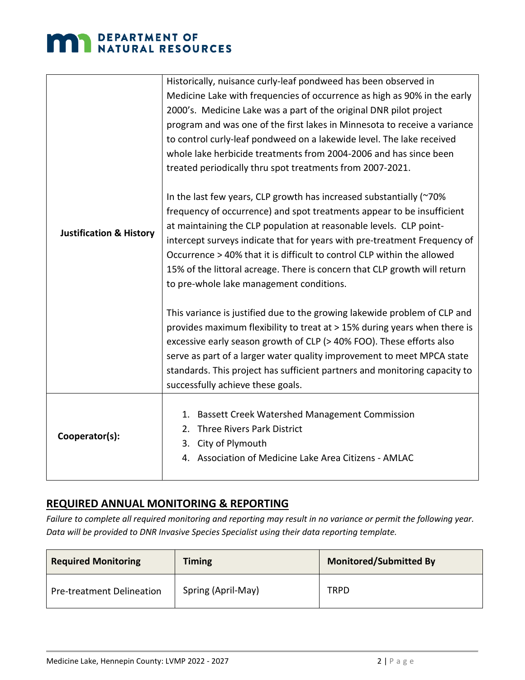## **MAN** DEPARTMENT OF NATURAL RESOURCES

|                                    | Historically, nuisance curly-leaf pondweed has been observed in            |  |  |
|------------------------------------|----------------------------------------------------------------------------|--|--|
|                                    | Medicine Lake with frequencies of occurrence as high as 90% in the early   |  |  |
|                                    | 2000's. Medicine Lake was a part of the original DNR pilot project         |  |  |
|                                    | program and was one of the first lakes in Minnesota to receive a variance  |  |  |
|                                    | to control curly-leaf pondweed on a lakewide level. The lake received      |  |  |
|                                    | whole lake herbicide treatments from 2004-2006 and has since been          |  |  |
|                                    | treated periodically thru spot treatments from 2007-2021.                  |  |  |
|                                    |                                                                            |  |  |
|                                    | In the last few years, CLP growth has increased substantially (~70%        |  |  |
|                                    | frequency of occurrence) and spot treatments appear to be insufficient     |  |  |
| <b>Justification &amp; History</b> | at maintaining the CLP population at reasonable levels. CLP point-         |  |  |
|                                    | intercept surveys indicate that for years with pre-treatment Frequency of  |  |  |
|                                    | Occurrence > 40% that it is difficult to control CLP within the allowed    |  |  |
|                                    | 15% of the littoral acreage. There is concern that CLP growth will return  |  |  |
|                                    | to pre-whole lake management conditions.                                   |  |  |
|                                    | This variance is justified due to the growing lakewide problem of CLP and  |  |  |
|                                    | provides maximum flexibility to treat at > 15% during years when there is  |  |  |
|                                    | excessive early season growth of CLP (> 40% FOO). These efforts also       |  |  |
|                                    | serve as part of a larger water quality improvement to meet MPCA state     |  |  |
|                                    | standards. This project has sufficient partners and monitoring capacity to |  |  |
|                                    | successfully achieve these goals.                                          |  |  |
|                                    |                                                                            |  |  |
|                                    | <b>Bassett Creek Watershed Management Commission</b><br>1.                 |  |  |
| Cooperator(s):                     | Three Rivers Park District<br>2.                                           |  |  |
|                                    | City of Plymouth<br>3.                                                     |  |  |
|                                    | 4. Association of Medicine Lake Area Citizens - AMLAC                      |  |  |
|                                    |                                                                            |  |  |

#### **REQUIRED ANNUAL MONITORING & REPORTING**

*Failure to complete all required monitoring and reporting may result in no variance or permit the following year. Data will be provided to DNR Invasive Species Specialist using their data reporting template.* 

| <b>Required Monitoring</b>       | <b>Timing</b>      | <b>Monitored/Submitted By</b> |
|----------------------------------|--------------------|-------------------------------|
| <b>Pre-treatment Delineation</b> | Spring (April-May) | TRPD                          |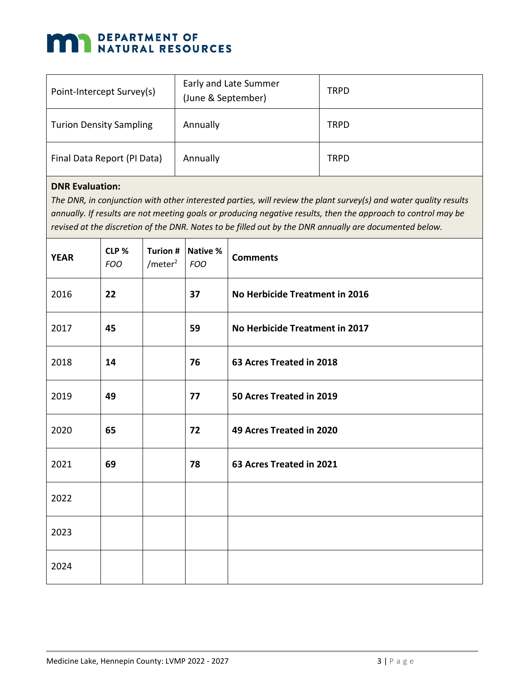### **MAN DEPARTMENT OF NATURAL RESOURCES**

| Point-Intercept Survey(s)      | Early and Late Summer<br>(June & September) | <b>TRPD</b> |
|--------------------------------|---------------------------------------------|-------------|
| <b>Turion Density Sampling</b> | Annually                                    | <b>TRPD</b> |
| Final Data Report (PI Data)    | Annually                                    | <b>TRPD</b> |

#### **DNR Evaluation:**

*The DNR, in conjunction with other interested parties, will review the plant survey(s) and water quality results annually. If results are not meeting goals or producing negative results, then the approach to control may be revised at the discretion of the DNR. Notes to be filled out by the DNR annually are documented below.*

| <b>YEAR</b> | CLP %<br><b>FOO</b> | <b>Turion #</b><br>$/$ meter <sup>2</sup> | Native %<br><b>FOO</b> | <b>Comments</b>                |
|-------------|---------------------|-------------------------------------------|------------------------|--------------------------------|
| 2016        | 22                  |                                           | 37                     | No Herbicide Treatment in 2016 |
| 2017        | 45                  |                                           | 59                     | No Herbicide Treatment in 2017 |
| 2018        | 14                  |                                           | 76                     | 63 Acres Treated in 2018       |
| 2019        | 49                  |                                           | 77                     | 50 Acres Treated in 2019       |
| 2020        | 65                  |                                           | 72                     | 49 Acres Treated in 2020       |
| 2021        | 69                  |                                           | 78                     | 63 Acres Treated in 2021       |
| 2022        |                     |                                           |                        |                                |
| 2023        |                     |                                           |                        |                                |
| 2024        |                     |                                           |                        |                                |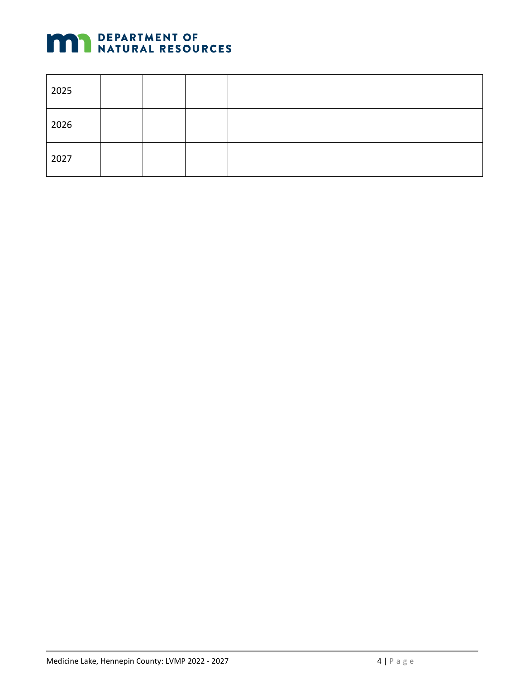

| 2025 |  |  |
|------|--|--|
| 2026 |  |  |
| 2027 |  |  |